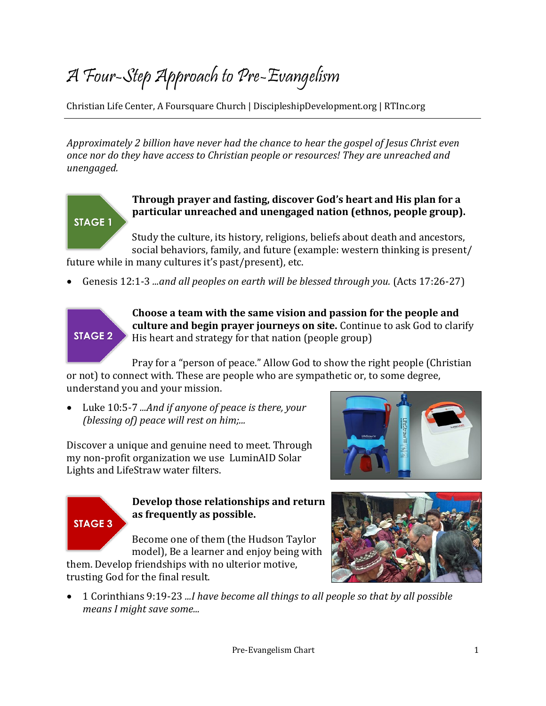## A Four-Step Approach to Pre-Evangelism

Christian Life Center, A Foursquare Church | DiscipleshipDevelopment.org | RTInc.org

*Approximately 2 billion have never had the chance to hear the gospel of Jesus Christ even once nor do they have access to Christian people or resources! They are unreached and unengaged.* 

#### **Through prayer and fasting, discover God's heart and His plan for a particular unreached and unengaged nation (ethnos, people group).**

Study the culture, its history, religions, beliefs about death and ancestors, social behaviors, family, and future (example: western thinking is present/

future while in many cultures it's past/present), etc.

• Genesis 12:1-3 *...and all peoples on earth will be blessed through you.* (Acts 17:26-27)

### **STAGE 2**

**STAGE 1** 

**Choose a team with the same vision and passion for the people and culture and begin prayer journeys on site.** Continue to ask God to clarify His heart and strategy for that nation (people group)

Pray for a "person of peace." Allow God to show the right people (Christian or not) to connect with. These are people who are sympathetic or, to some degree, understand you and your mission.

• Luke 10:5-7 *...And if anyone of peace is there, your (blessing of) peace will rest on him;...*

Discover a unique and genuine need to meet. Through my non-profit organization we use LuminAID Solar Lights and LifeStraw water filters.





#### **Develop those relationships and return as frequently as possible.**

Become one of them (the Hudson Taylor model), Be a learner and enjoy being with

them. Develop friendships with no ulterior motive, trusting God for the final result.

• 1 Corinthians 9:19-23 *...I have become all things to all people so that by all possible means I might save some...*